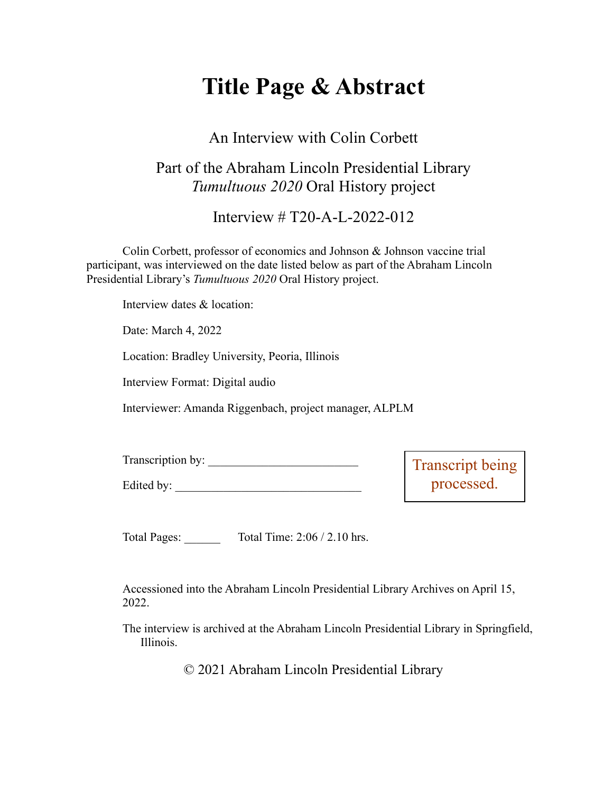# **Title Page & Abstract**

#### An Interview with Colin Corbett

### Part of the Abraham Lincoln Presidential Library *Tumultuous 2020* Oral History project

Interview # T20-A-L-2022-012

Colin Corbett, professor of economics and Johnson & Johnson vaccine trial participant, was interviewed on the date listed below as part of the Abraham Lincoln Presidential Library's *Tumultuous 2020* Oral History project.

Interview dates & location:

Date: March 4, 2022

Location: Bradley University, Peoria, Illinois

Interview Format: Digital audio

Interviewer: Amanda Riggenbach, project manager, ALPLM

| Transcription by: |  |
|-------------------|--|
|-------------------|--|

Edited by:

script being processed.

Total Pages: Total Time: 2:06 / 2.10 hrs.

Accessioned into the Abraham Lincoln Presidential Library Archives on April 15, 2022.

The interview is archived at the Abraham Lincoln Presidential Library in Springfield, Illinois.

© 2021 Abraham Lincoln Presidential Library